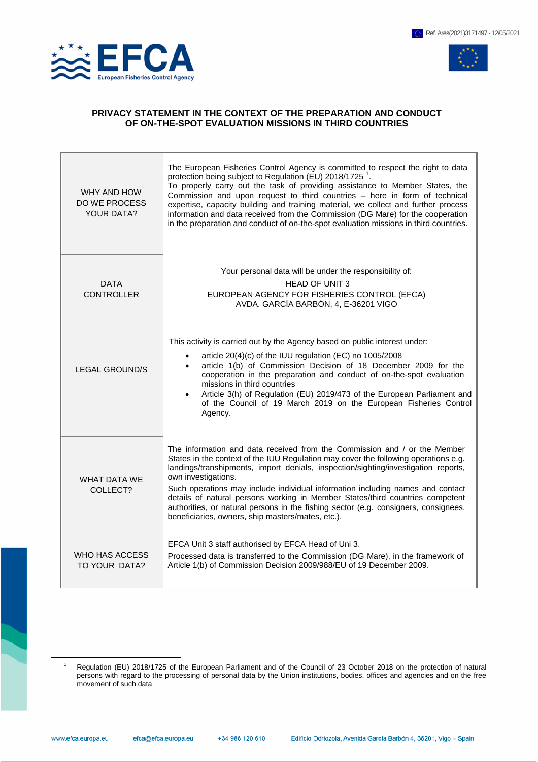

 $\overline{a}$ 



## **PRIVACY STATEMENT IN THE CONTEXT OF THE PREPARATION AND CONDUCT OF ON-THE-SPOT EVALUATION MISSIONS IN THIRD COUNTRIES**

| WHY AND HOW<br><b>DO WE PROCESS</b><br><b>YOUR DATA?</b> | The European Fisheries Control Agency is committed to respect the right to data<br>protection being subject to Regulation (EU) 2018/1725 <sup>1</sup> .<br>To properly carry out the task of providing assistance to Member States, the<br>Commission and upon request to third countries - here in form of technical<br>expertise, capacity building and training material, we collect and further process<br>information and data received from the Commission (DG Mare) for the cooperation<br>in the preparation and conduct of on-the-spot evaluation missions in third countries.      |
|----------------------------------------------------------|----------------------------------------------------------------------------------------------------------------------------------------------------------------------------------------------------------------------------------------------------------------------------------------------------------------------------------------------------------------------------------------------------------------------------------------------------------------------------------------------------------------------------------------------------------------------------------------------|
| <b>DATA</b><br><b>CONTROLLER</b>                         | Your personal data will be under the responsibility of:<br><b>HEAD OF UNIT 3</b><br>EUROPEAN AGENCY FOR FISHERIES CONTROL (EFCA)<br>AVDA. GARCÍA BARBÓN, 4, E-36201 VIGO                                                                                                                                                                                                                                                                                                                                                                                                                     |
| <b>LEGAL GROUND/S</b>                                    | This activity is carried out by the Agency based on public interest under:<br>article 20(4)(c) of the IUU regulation (EC) no 1005/2008<br>article 1(b) of Commission Decision of 18 December 2009 for the<br>cooperation in the preparation and conduct of on-the-spot evaluation<br>missions in third countries<br>Article 3(h) of Regulation (EU) 2019/473 of the European Parliament and<br>of the Council of 19 March 2019 on the European Fisheries Control<br>Agency.                                                                                                                  |
| <b>WHAT DATA WE</b><br>COLLECT?                          | The information and data received from the Commission and / or the Member<br>States in the context of the IUU Regulation may cover the following operations e.g.<br>landings/transhipments, import denials, inspection/sighting/investigation reports,<br>own investigations.<br>Such operations may include individual information including names and contact<br>details of natural persons working in Member States/third countries competent<br>authorities, or natural persons in the fishing sector (e.g. consigners, consignees,<br>beneficiaries, owners, ship masters/mates, etc.). |
| WHO HAS ACCESS<br>TO YOUR DATA?                          | EFCA Unit 3 staff authorised by EFCA Head of Uni 3.<br>Processed data is transferred to the Commission (DG Mare), in the framework of<br>Article 1(b) of Commission Decision 2009/988/EU of 19 December 2009.                                                                                                                                                                                                                                                                                                                                                                                |

Regulation (EU) 2018/1725 of the European Parliament and of the Council of 23 October 2018 on the protection of natural persons with regard to the processing of personal data by the Union institutions, bodies, offices and agencies and on the free movement of such data